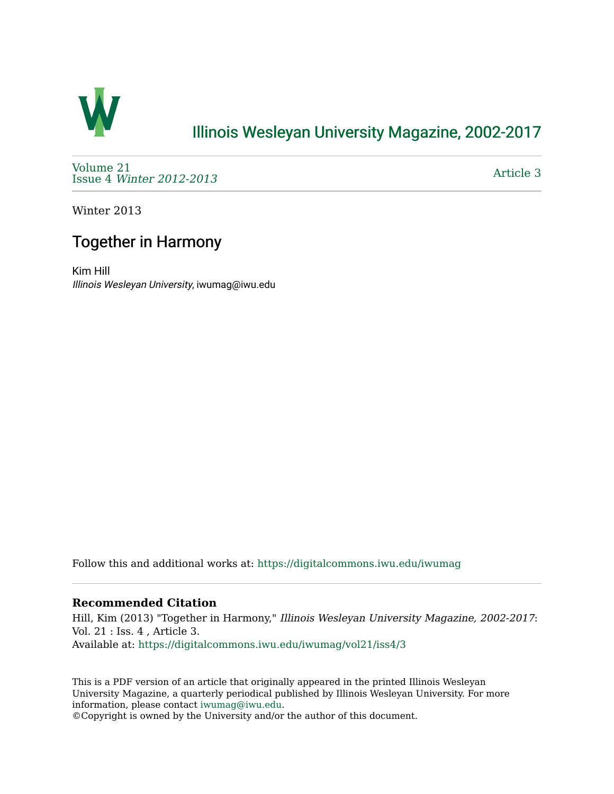

## [Illinois Wesleyan University Magazine, 2002-2017](https://digitalcommons.iwu.edu/iwumag)

[Volume 21](https://digitalcommons.iwu.edu/iwumag/vol21)  Issue 4 [Winter 2012-2013](https://digitalcommons.iwu.edu/iwumag/vol21/iss4)

[Article 3](https://digitalcommons.iwu.edu/iwumag/vol21/iss4/3) 

Winter 2013

# Together in Harmony

Kim Hill Illinois Wesleyan University, iwumag@iwu.edu

Follow this and additional works at: [https://digitalcommons.iwu.edu/iwumag](https://digitalcommons.iwu.edu/iwumag?utm_source=digitalcommons.iwu.edu%2Fiwumag%2Fvol21%2Fiss4%2F3&utm_medium=PDF&utm_campaign=PDFCoverPages) 

### **Recommended Citation**

Hill, Kim (2013) "Together in Harmony," Illinois Wesleyan University Magazine, 2002-2017: Vol. 21 : Iss. 4 , Article 3. Available at: [https://digitalcommons.iwu.edu/iwumag/vol21/iss4/3](https://digitalcommons.iwu.edu/iwumag/vol21/iss4/3?utm_source=digitalcommons.iwu.edu%2Fiwumag%2Fvol21%2Fiss4%2F3&utm_medium=PDF&utm_campaign=PDFCoverPages)

This is a PDF version of an article that originally appeared in the printed Illinois Wesleyan University Magazine, a quarterly periodical published by Illinois Wesleyan University. For more information, please contact [iwumag@iwu.edu](mailto:iwumag@iwu.edu).

©Copyright is owned by the University and/or the author of this document.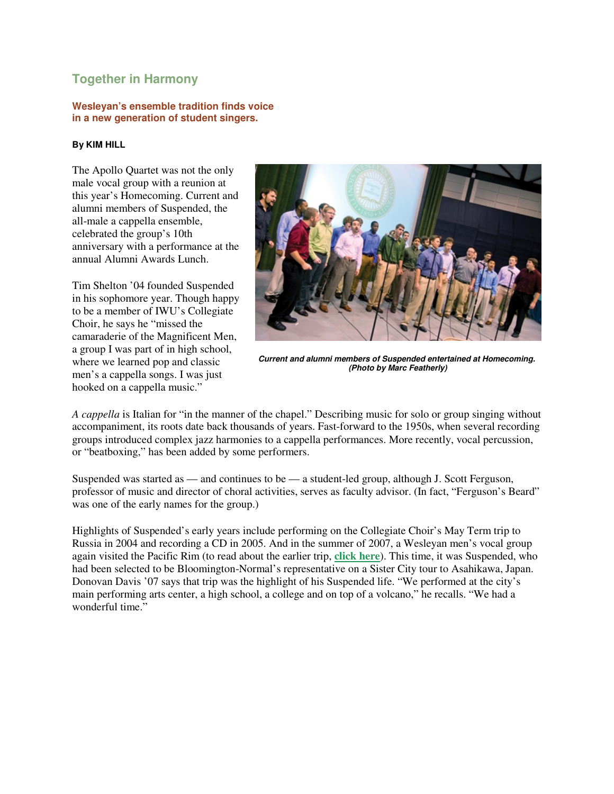## **Together in Harmony**

#### **Wesleyan's ensemble tradition finds voice in a new generation of student singers.**

#### **By KIM HILL**

The Apollo Quartet was not the only male vocal group with a reunion at this year's Homecoming. Current and alumni members of Suspended, the all-male a cappella ensemble, celebrated the group's 10th anniversary with a performance at the annual Alumni Awards Lunch.

Tim Shelton '04 founded Suspended in his sophomore year. Though happy to be a member of IWU's Collegiate Choir, he says he "missed the camaraderie of the Magnificent Men, a group I was part of in high school, where we learned pop and classic men's a cappella songs. I was just hooked on a cappella music."



**Current and alumni members of Suspended entertained at Homecoming. (Photo by Marc Featherly)**

*A cappella* is Italian for "in the manner of the chapel." Describing music for solo or group singing without accompaniment, its roots date back thousands of years. Fast-forward to the 1950s, when several recording groups introduced complex jazz harmonies to a cappella performances. More recently, vocal percussion, or "beatboxing," has been added by some performers.

Suspended was started as — and continues to be — a student-led group, although J. Scott Ferguson, professor of music and director of choral activities, serves as faculty advisor. (In fact, "Ferguson's Beard" was one of the early names for the group.)

Highlights of Suspended's early years include performing on the Collegiate Choir's May Term trip to Russia in 2004 and recording a CD in 2005. And in the summer of 2007, a Wesleyan men's vocal group again visited the Pacific Rim (to read about the earlier trip, **click here**). This time, it was Suspended, who had been selected to be Bloomington-Normal's representative on a Sister City tour to Asahikawa, Japan. Donovan Davis '07 says that trip was the highlight of his Suspended life. "We performed at the city's main performing arts center, a high school, a college and on top of a volcano," he recalls. "We had a wonderful time."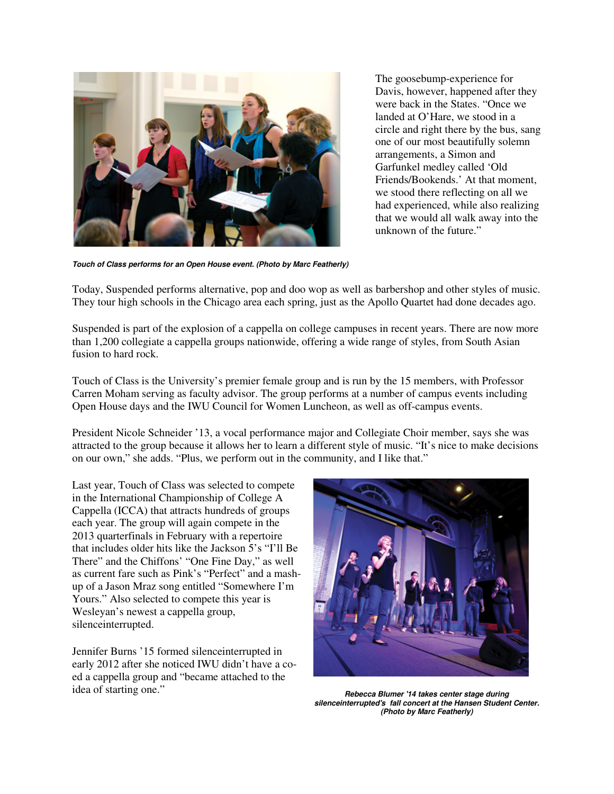

The goosebump-experience for Davis, however, happened after they were back in the States. "Once we landed at O'Hare, we stood in a circle and right there by the bus, sang one of our most beautifully solemn arrangements, a Simon and Garfunkel medley called 'Old Friends/Bookends.' At that moment, we stood there reflecting on all we had experienced, while also realizing that we would all walk away into the unknown of the future."

**Touch of Class performs for an Open House event. (Photo by Marc Featherly)**

Today, Suspended performs alternative, pop and doo wop as well as barbershop and other styles of music. They tour high schools in the Chicago area each spring, just as the Apollo Quartet had done decades ago.

Suspended is part of the explosion of a cappella on college campuses in recent years. There are now more than 1,200 collegiate a cappella groups nationwide, offering a wide range of styles, from South Asian fusion to hard rock.

Touch of Class is the University's premier female group and is run by the 15 members, with Professor Carren Moham serving as faculty advisor. The group performs at a number of campus events including Open House days and the IWU Council for Women Luncheon, as well as off-campus events.

President Nicole Schneider '13, a vocal performance major and Collegiate Choir member, says she was attracted to the group because it allows her to learn a different style of music. "It's nice to make decisions on our own," she adds. "Plus, we perform out in the community, and I like that."

Last year, Touch of Class was selected to compete in the International Championship of College A Cappella (ICCA) that attracts hundreds of groups each year. The group will again compete in the 2013 quarterfinals in February with a repertoire that includes older hits like the Jackson 5's "I'll Be There" and the Chiffons' "One Fine Day," as well as current fare such as Pink's "Perfect" and a mashup of a Jason Mraz song entitled "Somewhere I'm Yours." Also selected to compete this year is Wesleyan's newest a cappella group, silenceinterrupted.

Jennifer Burns '15 formed silenceinterrupted in early 2012 after she noticed IWU didn't have a coed a cappella group and "became attached to the idea of starting one." **Rebecca Blumer '14 takes center stage during**  $\theta$ 



**silenceinterrupted's fall concert at the Hansen Student Center. (Photo by Marc Featherly)**